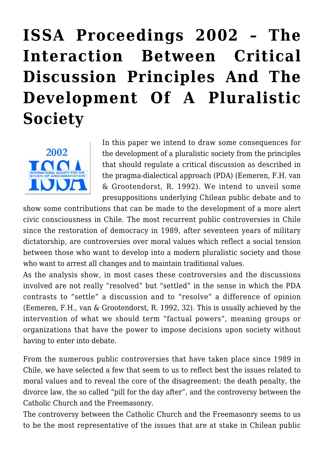# **[ISSA Proceedings 2002 – The](https://rozenbergquarterly.com/issa-proceedings-2002-the-interaction-between-critical-discussion-principles-and-the-development-of-a-pluralistic-society/) [Interaction Between Critical](https://rozenbergquarterly.com/issa-proceedings-2002-the-interaction-between-critical-discussion-principles-and-the-development-of-a-pluralistic-society/) [Discussion Principles And The](https://rozenbergquarterly.com/issa-proceedings-2002-the-interaction-between-critical-discussion-principles-and-the-development-of-a-pluralistic-society/) [Development Of A Pluralistic](https://rozenbergquarterly.com/issa-proceedings-2002-the-interaction-between-critical-discussion-principles-and-the-development-of-a-pluralistic-society/) [Society](https://rozenbergquarterly.com/issa-proceedings-2002-the-interaction-between-critical-discussion-principles-and-the-development-of-a-pluralistic-society/)**



In this paper we intend to draw some consequences for the development of a pluralistic society from the principles that should regulate a critical discussion as described in the pragma-dialectical approach (PDA) (Eemeren, F.H. van & Grootendorst, R. 1992). We intend to unveil some presuppositions underlying Chilean public debate and to

show some contributions that can be made to the development of a more alert civic consciousness in Chile. The most recurrent public controversies in Chile since the restoration of democracy in 1989, after seventeen years of military dictatorship, are controversies over moral values which reflect a social tension between those who want to develop into a modern pluralistic society and those who want to arrest all changes and to maintain traditional values.

As the analysis show, in most cases these controversies and the discussions involved are not really "resolved" but "settled" in the sense in which the PDA contrasts to "settle" a discussion and to "resolve" a difference of opinion (Eemeren, F.H., van & Grootendorst, R. 1992, 32). This is usually achieved by the intervention of what we should term "factual powers", meaning groups or organizations that have the power to impose decisions upon society without having to enter into debate.

From the numerous public controversies that have taken place since 1989 in Chile, we have selected a few that seem to us to reflect best the issues related to moral values and to reveal the core of the disagreement: the death penalty, the divorce law, the so called "pill for the day after", and the controversy between the Catholic Church and the Freemasonry.

The controversy between the Catholic Church and the Freemasonry seems to us to be the most representative of the issues that are at stake in Chilean public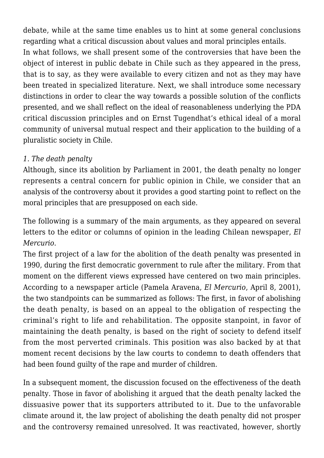debate, while at the same time enables us to hint at some general conclusions regarding what a critical discussion about values and moral principles entails. In what follows, we shall present some of the controversies that have been the object of interest in public debate in Chile such as they appeared in the press, that is to say, as they were available to every citizen and not as they may have been treated in specialized literature. Next, we shall introduce some necessary distinctions in order to clear the way towards a possible solution of the conflicts presented, and we shall reflect on the ideal of reasonableness underlying the PDA critical discussion principles and on Ernst Tugendhat's ethical ideal of a moral community of universal mutual respect and their application to the building of a pluralistic society in Chile.

#### *1. The death penalty*

Although, since its abolition by Parliament in 2001, the death penalty no longer represents a central concern for public opinion in Chile, we consider that an analysis of the controversy about it provides a good starting point to reflect on the moral principles that are presupposed on each side.

The following is a summary of the main arguments, as they appeared on several letters to the editor or columns of opinion in the leading Chilean newspaper, *El Mercurio*.

The first project of a law for the abolition of the death penalty was presented in 1990, during the first democratic government to rule after the military. From that moment on the different views expressed have centered on two main principles. According to a newspaper article (Pamela Aravena, *El Mercurio*, April 8, 2001), the two standpoints can be summarized as follows: The first, in favor of abolishing the death penalty, is based on an appeal to the obligation of respecting the criminal's right to life and rehabilitation. The opposite stanpoint, in favor of maintaining the death penalty, is based on the right of society to defend itself from the most perverted criminals. This position was also backed by at that moment recent decisions by the law courts to condemn to death offenders that had been found guilty of the rape and murder of children.

In a subsequent moment, the discussion focused on the effectiveness of the death penalty. Those in favor of abolishing it argued that the death penalty lacked the dissuasive power that its supporters attributed to it. Due to the unfavorable climate around it, the law project of abolishing the death penalty did not prosper and the controversy remained unresolved. It was reactivated, however, shortly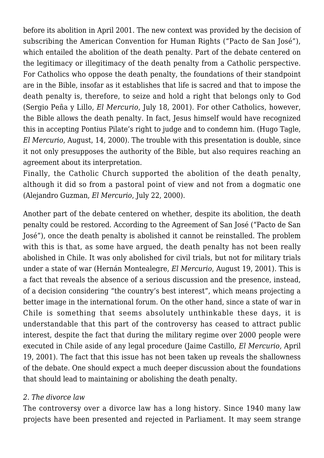before its abolition in April 2001. The new context was provided by the decision of subscribing the American Convention for Human Rights ("Pacto de San José"), which entailed the abolition of the death penalty. Part of the debate centered on the legitimacy or illegitimacy of the death penalty from a Catholic perspective. For Catholics who oppose the death penalty, the foundations of their standpoint are in the Bible, insofar as it establishes that life is sacred and that to impose the death penalty is, therefore, to seize and hold a right that belongs only to God (Sergio Peña y Lillo, *El Mercurio*, July 18, 2001). For other Catholics, however, the Bible allows the death penalty. In fact, Jesus himself would have recognized this in accepting Pontius Pilate's right to judge and to condemn him. (Hugo Tagle, *El Mercurio*, August, 14, 2000). The trouble with this presentation is double, since it not only presupposes the authority of the Bible, but also requires reaching an agreement about its interpretation.

Finally, the Catholic Church supported the abolition of the death penalty, although it did so from a pastoral point of view and not from a dogmatic one (Alejandro Guzman, *El Mercurio*, July 22, 2000).

Another part of the debate centered on whether, despite its abolition, the death penalty could be restored. According to the Agreement of San José ("Pacto de San José"), once the death penalty is abolished it cannot be reinstalled. The problem with this is that, as some have argued, the death penalty has not been really abolished in Chile. It was only abolished for civil trials, but not for military trials under a state of war (Hernán Montealegre, *El Mercurio*, August 19, 2001). This is a fact that reveals the absence of a serious discussion and the presence, instead, of a decision considering "the country's best interest", which means projecting a better image in the international forum. On the other hand, since a state of war in Chile is something that seems absolutely unthinkable these days, it is understandable that this part of the controversy has ceased to attract public interest, despite the fact that during the military regime over 2000 people were executed in Chile aside of any legal procedure (Jaime Castillo, *El Mercurio,* April 19, 2001). The fact that this issue has not been taken up reveals the shallowness of the debate. One should expect a much deeper discussion about the foundations that should lead to maintaining or abolishing the death penalty.

#### *2. The divorce law*

The controversy over a divorce law has a long history. Since 1940 many law projects have been presented and rejected in Parliament. It may seem strange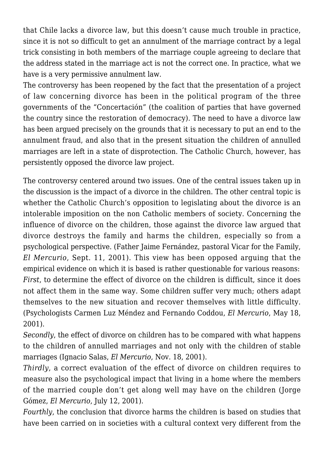that Chile lacks a divorce law, but this doesn't cause much trouble in practice, since it is not so difficult to get an annulment of the marriage contract by a legal trick consisting in both members of the marriage couple agreeing to declare that the address stated in the marriage act is not the correct one. In practice, what we have is a very permissive annulment law.

The controversy has been reopened by the fact that the presentation of a project of law concerning divorce has been in the political program of the three governments of the "Concertación" (the coalition of parties that have governed the country since the restoration of democracy). The need to have a divorce law has been argued precisely on the grounds that it is necessary to put an end to the annulment fraud, and also that in the present situation the children of annulled marriages are left in a state of disprotection. The Catholic Church, however, has persistently opposed the divorce law project.

The controversy centered around two issues. One of the central issues taken up in the discussion is the impact of a divorce in the children. The other central topic is whether the Catholic Church's opposition to legislating about the divorce is an intolerable imposition on the non Catholic members of society. Concerning the influence of divorce on the children, those against the divorce law argued that divorce destroys the family and harms the children, especially so from a psychological perspective. (Father Jaime Fernández, pastoral Vicar for the Family, *El Mercurio*, Sept. 11, 2001). This view has been opposed arguing that the empirical evidence on which it is based is rather questionable for various reasons: *First*, to determine the effect of divorce on the children is difficult, since it does not affect them in the same way. Some children suffer very much; others adapt themselves to the new situation and recover themselves with little difficulty. (Psychologists Carmen Luz Méndez and Fernando Coddou, *El Mercurio*, May 18, 2001).

*Secondly*, the effect of divorce on children has to be compared with what happens to the children of annulled marriages and not only with the children of stable marriages (Ignacio Salas, *El Mercurio*, Nov. 18, 2001).

*Thirdly*, a correct evaluation of the effect of divorce on children requires to measure also the psychological impact that living in a home where the members of the married couple don't get along well may have on the children (Jorge Gómez, *El Mercurio*, July 12, 2001).

*Fourthly*, the conclusion that divorce harms the children is based on studies that have been carried on in societies with a cultural context very different from the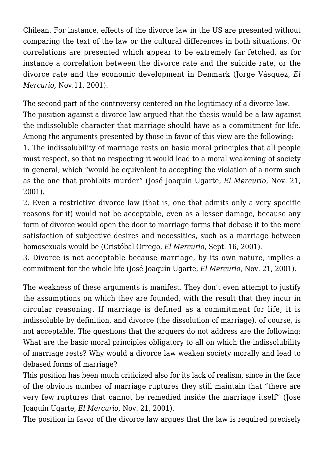Chilean. For instance, effects of the divorce law in the US are presented without comparing the text of the law or the cultural differences in both situations. Or correlations are presented which appear to be extremely far fetched, as for instance a correlation between the divorce rate and the suicide rate, or the divorce rate and the economic development in Denmark (Jorge Vásquez, *El Mercurio,* Nov.11, 2001).

The second part of the controversy centered on the legitimacy of a divorce law. The position against a divorce law argued that the thesis would be a law against the indissoluble character that marriage should have as a commitment for life. Among the arguments presented by those in favor of this view are the following: 1. The indissolubility of marriage rests on basic moral principles that all people must respect, so that no respecting it would lead to a moral weakening of society in general, which "would be equivalent to accepting the violation of a norm such as the one that prohibits murder" (José Joaquín Ugarte, *El Mercurio*, Nov. 21, 2001).

2. Even a restrictive divorce law (that is, one that admits only a very specific reasons for it) would not be acceptable, even as a lesser damage, because any form of divorce would open the door to marriage forms that debase it to the mere satisfaction of subjective desires and necessities, such as a marriage between homosexuals would be (Cristóbal Orrego, *El Mercurio*, Sept. 16, 2001).

3. Divorce is not acceptable because marriage, by its own nature, implies a commitment for the whole life (José Joaquín Ugarte, *El Mercurio,* Nov. 21, 2001).

The weakness of these arguments is manifest. They don't even attempt to justify the assumptions on which they are founded, with the result that they incur in circular reasoning. If marriage is defined as a commitment for life, it is indissoluble by definition, and divorce (the dissolution of marriage), of course, is not acceptable. The questions that the arguers do not address are the following: What are the basic moral principles obligatory to all on which the indissolubility of marriage rests? Why would a divorce law weaken society morally and lead to debased forms of marriage?

This position has been much criticized also for its lack of realism, since in the face of the obvious number of marriage ruptures they still maintain that "there are very few ruptures that cannot be remedied inside the marriage itself" (José Joaquín Ugarte, *El Mercurio*, Nov. 21, 2001).

The position in favor of the divorce law argues that the law is required precisely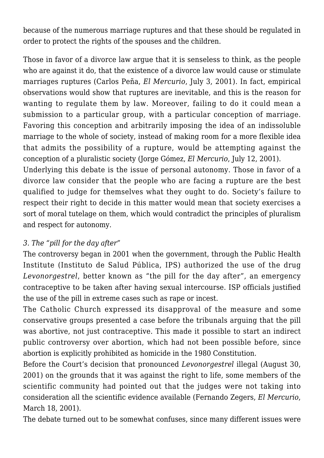because of the numerous marriage ruptures and that these should be regulated in order to protect the rights of the spouses and the children.

Those in favor of a divorce law argue that it is senseless to think, as the people who are against it do, that the existence of a divorce law would cause or stimulate marriages ruptures (Carlos Peña, *El Mercurio*, July 3, 2001). In fact, empirical observations would show that ruptures are inevitable, and this is the reason for wanting to regulate them by law. Moreover, failing to do it could mean a submission to a particular group, with a particular conception of marriage. Favoring this conception and arbitrarily imposing the idea of an indissoluble marriage to the whole of society, instead of making room for a more flexible idea that admits the possibility of a rupture, would be attempting against the conception of a pluralistic society (Jorge Gómez, *El Mercurio*, July 12, 2001).

Underlying this debate is the issue of personal autonomy. Those in favor of a divorce law consider that the people who are facing a rupture are the best qualified to judge for themselves what they ought to do. Society's failure to respect their right to decide in this matter would mean that society exercises a sort of moral tutelage on them, which would contradict the principles of pluralism and respect for autonomy.

## *3. The "pill for the day after"*

The controversy began in 2001 when the government, through the Public Health Institute (Instituto de Salud Pública, IPS) authorized the use of the drug *Levonorgestrel*, better known as "the pill for the day after", an emergency contraceptive to be taken after having sexual intercourse. ISP officials justified the use of the pill in extreme cases such as rape or incest.

The Catholic Church expressed its disapproval of the measure and some conservative groups presented a case before the tribunals arguing that the pill was abortive, not just contraceptive. This made it possible to start an indirect public controversy over abortion, which had not been possible before, since abortion is explicitly prohibited as homicide in the 1980 Constitution.

Before the Court's decision that pronounced *Levonorgestrel* illegal (August 30, 2001) on the grounds that it was against the right to life, some members of the scientific community had pointed out that the judges were not taking into consideration all the scientific evidence available (Fernando Zegers, *El Mercurio*, March 18, 2001).

The debate turned out to be somewhat confuses, since many different issues were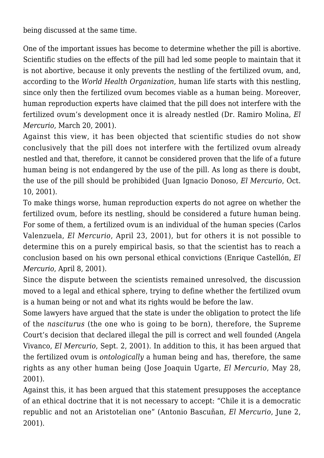being discussed at the same time.

One of the important issues has become to determine whether the pill is abortive. Scientific studies on the effects of the pill had led some people to maintain that it is not abortive, because it only prevents the nestling of the fertilized ovum, and, according to the *World Health Organization*, human life starts with this nestling, since only then the fertilized ovum becomes viable as a human being. Moreover, human reproduction experts have claimed that the pill does not interfere with the fertilized ovum's development once it is already nestled (Dr. Ramiro Molina, *El Mercurio*, March 20, 2001).

Against this view, it has been objected that scientific studies do not show conclusively that the pill does not interfere with the fertilized ovum already nestled and that, therefore, it cannot be considered proven that the life of a future human being is not endangered by the use of the pill. As long as there is doubt, the use of the pill should be prohibided (Juan Ignacio Donoso, *El Mercurio*, Oct. 10, 2001).

To make things worse, human reproduction experts do not agree on whether the fertilized ovum, before its nestling, should be considered a future human being. For some of them, a fertilized ovum is an individual of the human species (Carlos Valenzuela, *El Mercurio*, April 23, 2001), but for others it is not possible to determine this on a purely empirical basis, so that the scientist has to reach a conclusion based on his own personal ethical convictions (Enrique Castellón, *El Mercurio*, April 8, 2001).

Since the dispute between the scientists remained unresolved, the discussion moved to a legal and ethical sphere, trying to define whether the fertilized ovum is a human being or not and what its rights would be before the law.

Some lawyers have argued that the state is under the obligation to protect the life of the *nasciturus* (the one who is going to be born), therefore, the Supreme Court's decision that declared illegal the pill is correct and well founded (Angela Vivanco, *El Mercurio*, Sept. 2, 2001). In addition to this, it has been argued that the fertilized ovum is *ontologically* a human being and has, therefore, the same rights as any other human being (Jose Joaquin Ugarte, *El Mercurio*, May 28, 2001).

Against this, it has been argued that this statement presupposes the acceptance of an ethical doctrine that it is not necessary to accept: "Chile it is a democratic republic and not an Aristotelian one" (Antonio Bascuñan, *El Mercurio*, June 2, 2001).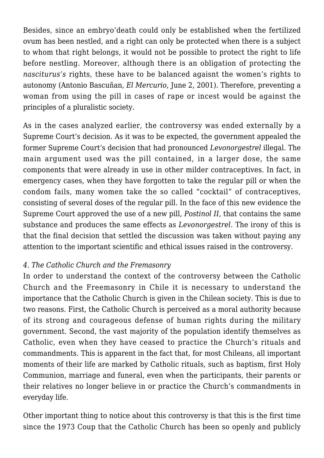Besides, since an embryo'death could only be established when the fertilized ovum has been nestled, and a right can only be protected when there is a subject to whom that right belongs, it would not be possible to protect the right to life before nestling. Moreover, although there is an obligation of protecting the *nasciturus's* rights, these have to be balanced agaisnt the women's rights to autonomy (Antonio Bascuñan, *El Mercurio*, June 2, 2001). Therefore, preventing a woman from using the pill in cases of rape or incest would be against the principles of a pluralistic society.

As in the cases analyzed earlier, the controversy was ended externally by a Supreme Court's decision. As it was to be expected, the government appealed the former Supreme Court's decision that had pronounced *Levonorgestrel* illegal. The main argument used was the pill contained, in a larger dose, the same components that were already in use in other milder contraceptives. In fact, in emergency cases, when they have forgotten to take the regular pill or when the condom fails, many women take the so called "cocktail" of contraceptives, consisting of several doses of the regular pill. In the face of this new evidence the Supreme Court approved the use of a new pill, *Postinol II*, that contains the same substance and produces the same effects as *Levonorgestrel*. The irony of this is that the final decision that settled the discussion was taken without paying any attention to the important scientific and ethical issues raised in the controversy.

## *4. The Catholic Church and the Fremasonry*

In order to understand the context of the controversy between the Catholic Church and the Freemasonry in Chile it is necessary to understand the importance that the Catholic Church is given in the Chilean society. This is due to two reasons. First, the Catholic Church is perceived as a moral authority because of its strong and courageous defense of human rights during the military government. Second, the vast majority of the population identify themselves as Catholic, even when they have ceased to practice the Church's rituals and commandments. This is apparent in the fact that, for most Chileans, all important moments of their life are marked by Catholic rituals, such as baptism, first Holy Communion, marriage and funeral, even when the participants, their parents or their relatives no longer believe in or practice the Church's commandments in everyday life.

Other important thing to notice about this controversy is that this is the first time since the 1973 Coup that the Catholic Church has been so openly and publicly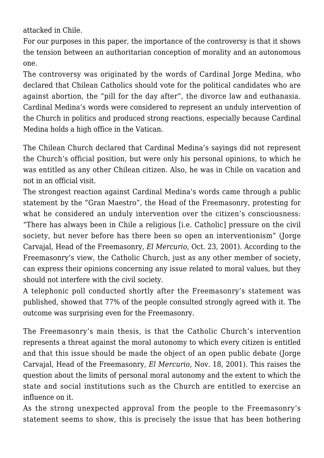attacked in Chile.

For our purposes in this paper, the importance of the controversy is that it shows the tension between an authoritarian conception of morality and an autonomous one.

The controversy was originated by the words of Cardinal Jorge Medina, who declared that Chilean Catholics should vote for the political candidates who are against abortion, the "pill for the day after", the divorce law and euthanasia. Cardinal Medina's words were considered to represent an unduly intervention of the Church in politics and produced strong reactions, especially because Cardinal Medina holds a high office in the Vatican.

The Chilean Church declared that Cardinal Medina's sayings did not represent the Church's official position, but were only his personal opinions, to which he was entitled as any other Chilean citizen. Also, he was in Chile on vacation and not in an official visit.

The strongest reaction against Cardinal Medina's words came through a public statement by the "Gran Maestro", the Head of the Freemasonry, protesting for what he considered an unduly intervention over the citizen's consciousness: "There has always been in Chile a religious [i.e. Catholic] pressure on the civil society, but never before has there been so open an interventionism" (Jorge Carvajal, Head of the Freemasonry, *El Mercurio*, Oct. 23, 2001). According to the Freemasonry's view, the Catholic Church, just as any other member of society, can express their opinions concerning any issue related to moral values, but they should not interfere with the civil society.

A telephonic poll conducted shortly after the Freemasonry's statement was published, showed that 77% of the people consulted strongly agreed with it. The outcome was surprising even for the Freemasonry.

The Freemasonry's main thesis, is that the Catholic Church's intervention represents a threat against the moral autonomy to which every citizen is entitled and that this issue should be made the object of an open public debate (Jorge Carvajal, Head of the Freemasonry, *El Mercurio*, Nov. 18, 2001). This raises the question about the limits of personal moral autonomy and the extent to which the state and social institutions such as the Church are entitled to exercise an influence on it.

As the strong unexpected approval from the people to the Freemasonry's statement seems to show, this is precisely the issue that has been bothering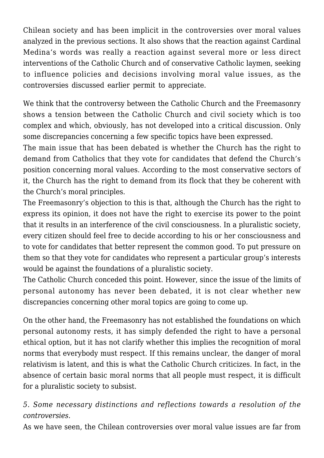Chilean society and has been implicit in the controversies over moral values analyzed in the previous sections. It also shows that the reaction against Cardinal Medina's words was really a reaction against several more or less direct interventions of the Catholic Church and of conservative Catholic laymen, seeking to influence policies and decisions involving moral value issues, as the controversies discussed earlier permit to appreciate.

We think that the controversy between the Catholic Church and the Freemasonry shows a tension between the Catholic Church and civil society which is too complex and which, obviously, has not developed into a critical discussion. Only some discrepancies concerning a few specific topics have been expressed.

The main issue that has been debated is whether the Church has the right to demand from Catholics that they vote for candidates that defend the Church's position concerning moral values. According to the most conservative sectors of it, the Church has the right to demand from its flock that they be coherent with the Church's moral principles.

The Freemasonry's objection to this is that, although the Church has the right to express its opinion, it does not have the right to exercise its power to the point that it results in an interference of the civil consciousness. In a pluralistic society, every citizen should feel free to decide according to his or her consciousness and to vote for candidates that better represent the common good. To put pressure on them so that they vote for candidates who represent a particular group's interests would be against the foundations of a pluralistic society.

The Catholic Church conceded this point. However, since the issue of the limits of personal autonomy has never been debated, it is not clear whether new discrepancies concerning other moral topics are going to come up.

On the other hand, the Freemasonry has not established the foundations on which personal autonomy rests, it has simply defended the right to have a personal ethical option, but it has not clarify whether this implies the recognition of moral norms that everybody must respect. If this remains unclear, the danger of moral relativism is latent, and this is what the Catholic Church criticizes. In fact, in the absence of certain basic moral norms that all people must respect, it is difficult for a pluralistic society to subsist.

## *5. Some necessary distinctions and reflections towards a resolution of the controversies.*

As we have seen, the Chilean controversies over moral value issues are far from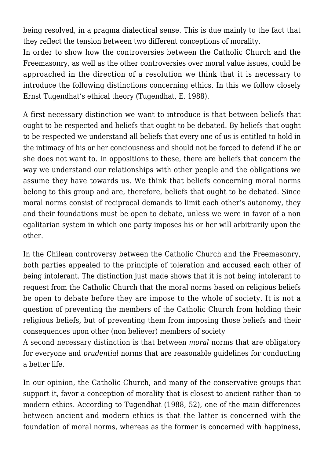being resolved, in a pragma dialectical sense. This is due mainly to the fact that they reflect the tension between two different conceptions of morality.

In order to show how the controversies between the Catholic Church and the Freemasonry, as well as the other controversies over moral value issues, could be approached in the direction of a resolution we think that it is necessary to introduce the following distinctions concerning ethics. In this we follow closely Ernst Tugendhat's ethical theory (Tugendhat, E. 1988).

A first necessary distinction we want to introduce is that between beliefs that ought to be respected and beliefs that ought to be debated. By beliefs that ought to be respected we understand all beliefs that every one of us is entitled to hold in the intimacy of his or her conciousness and should not be forced to defend if he or she does not want to. In oppositions to these, there are beliefs that concern the way we understand our relationships with other people and the obligations we assume they have towards us. We think that beliefs concerning moral norms belong to this group and are, therefore, beliefs that ought to be debated. Since moral norms consist of reciprocal demands to limit each other's autonomy, they and their foundations must be open to debate, unless we were in favor of a non egalitarian system in which one party imposes his or her will arbitrarily upon the other.

In the Chilean controversy between the Catholic Church and the Freemasonry, both parties appealed to the principle of toleration and accused each other of being intolerant. The distinction just made shows that it is not being intolerant to request from the Catholic Church that the moral norms based on religious beliefs be open to debate before they are impose to the whole of society. It is not a question of preventing the members of the Catholic Church from holding their religious beliefs, but of preventing them from imposing those beliefs and their consequences upon other (non believer) members of society

A second necessary distinction is that between *moral* norms that are obligatory for everyone and *prudential* norms that are reasonable guidelines for conducting a better life.

In our opinion, the Catholic Church, and many of the conservative groups that support it, favor a conception of morality that is closest to ancient rather than to modern ethics. According to Tugendhat (1988, 52), one of the main differences between ancient and modern ethics is that the latter is concerned with the foundation of moral norms, whereas as the former is concerned with happiness,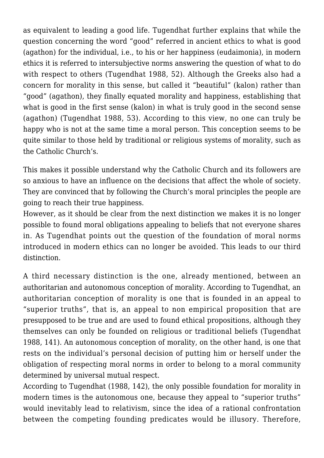as equivalent to leading a good life. Tugendhat further explains that while the question concerning the word "good" referred in ancient ethics to what is good (agathon) for the individual, i.e., to his or her happiness (eudaimonia), in modern ethics it is referred to intersubjective norms answering the question of what to do with respect to others (Tugendhat 1988, 52). Although the Greeks also had a concern for morality in this sense, but called it "beautiful" (kalon) rather than "good" (agathon), they finally equated morality and happiness, establishing that what is good in the first sense (kalon) in what is truly good in the second sense (agathon) (Tugendhat 1988, 53). According to this view, no one can truly be happy who is not at the same time a moral person. This conception seems to be quite similar to those held by traditional or religious systems of morality, such as the Catholic Church's.

This makes it possible understand why the Catholic Church and its followers are so anxious to have an influence on the decisions that affect the whole of society. They are convinced that by following the Church's moral principles the people are going to reach their true happiness.

However, as it should be clear from the next distinction we makes it is no longer possible to found moral obligations appealing to beliefs that not everyone shares in. As Tugendhat points out the question of the foundation of moral norms introduced in modern ethics can no longer be avoided. This leads to our third distinction.

A third necessary distinction is the one, already mentioned, between an authoritarian and autonomous conception of morality. According to Tugendhat, an authoritarian conception of morality is one that is founded in an appeal to "superior truths", that is, an appeal to non empirical proposition that are presupposed to be true and are used to found ethical propositions, although they themselves can only be founded on religious or traditional beliefs (Tugendhat 1988, 141). An autonomous conception of morality, on the other hand, is one that rests on the individual's personal decision of putting him or herself under the obligation of respecting moral norms in order to belong to a moral community determined by universal mutual respect.

According to Tugendhat (1988, 142), the only possible foundation for morality in modern times is the autonomous one, because they appeal to "superior truths" would inevitably lead to relativism, since the idea of a rational confrontation between the competing founding predicates would be illusory. Therefore,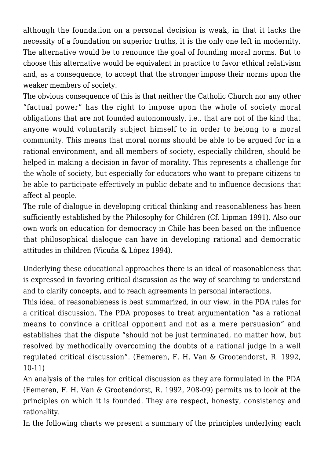although the foundation on a personal decision is weak, in that it lacks the necessity of a foundation on superior truths, it is the only one left in modernity. The alternative would be to renounce the goal of founding moral norms. But to choose this alternative would be equivalent in practice to favor ethical relativism and, as a consequence, to accept that the stronger impose their norms upon the weaker members of society.

The obvious consequence of this is that neither the Catholic Church nor any other "factual power" has the right to impose upon the whole of society moral obligations that are not founded autonomously, i.e., that are not of the kind that anyone would voluntarily subject himself to in order to belong to a moral community. This means that moral norms should be able to be argued for in a rational environment, and all members of society, especially children, should be helped in making a decision in favor of morality. This represents a challenge for the whole of society, but especially for educators who want to prepare citizens to be able to participate effectively in public debate and to influence decisions that affect al people.

The role of dialogue in developing critical thinking and reasonableness has been sufficiently established by the Philosophy for Children (Cf. Lipman 1991). Also our own work on education for democracy in Chile has been based on the influence that philosophical dialogue can have in developing rational and democratic attitudes in children (Vicuña & López 1994).

Underlying these educational approaches there is an ideal of reasonableness that is expressed in favoring critical discussion as the way of searching to understand and to clarify concepts, and to reach agreements in personal interactions.

This ideal of reasonableness is best summarized, in our view, in the PDA rules for a critical discussion. The PDA proposes to treat argumentation "as a rational means to convince a critical opponent and not as a mere persuasion" and establishes that the dispute "should not be just terminated, no matter how, but resolved by methodically overcoming the doubts of a rational judge in a well regulated critical discussion". (Eemeren, F. H. Van & Grootendorst, R. 1992, 10-11)

An analysis of the rules for critical discussion as they are formulated in the PDA (Eemeren, F. H. Van & Grootendorst, R. 1992, 208-09) permits us to look at the principles on which it is founded. They are respect, honesty, consistency and rationality.

In the following charts we present a summary of the principles underlying each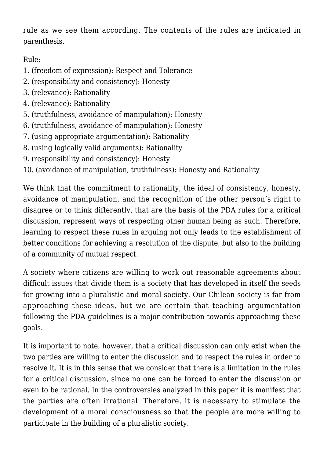rule as we see them according. The contents of the rules are indicated in parenthesis.

Rule:

- 1. (freedom of expression): Respect and Tolerance
- 2. (responsibility and consistency): Honesty
- 3. (relevance): Rationality
- 4. (relevance): Rationality
- 5. (truthfulness, avoidance of manipulation): Honesty
- 6. (truthfulness, avoidance of manipulation): Honesty
- 7. (using appropriate argumentation): Rationality
- 8. (using logically valid arguments): Rationality
- 9. (responsibility and consistency): Honesty
- 10. (avoidance of manipulation, truthfulness): Honesty and Rationality

We think that the commitment to rationality, the ideal of consistency, honesty, avoidance of manipulation, and the recognition of the other person's right to disagree or to think differently, that are the basis of the PDA rules for a critical discussion, represent ways of respecting other human being as such. Therefore, learning to respect these rules in arguing not only leads to the establishment of better conditions for achieving a resolution of the dispute, but also to the building of a community of mutual respect.

A society where citizens are willing to work out reasonable agreements about difficult issues that divide them is a society that has developed in itself the seeds for growing into a pluralistic and moral society. Our Chilean society is far from approaching these ideas, but we are certain that teaching argumentation following the PDA guidelines is a major contribution towards approaching these goals.

It is important to note, however, that a critical discussion can only exist when the two parties are willing to enter the discussion and to respect the rules in order to resolve it. It is in this sense that we consider that there is a limitation in the rules for a critical discussion, since no one can be forced to enter the discussion or even to be rational. In the controversies analyzed in this paper it is manifest that the parties are often irrational. Therefore, it is necessary to stimulate the development of a moral consciousness so that the people are more willing to participate in the building of a pluralistic society.